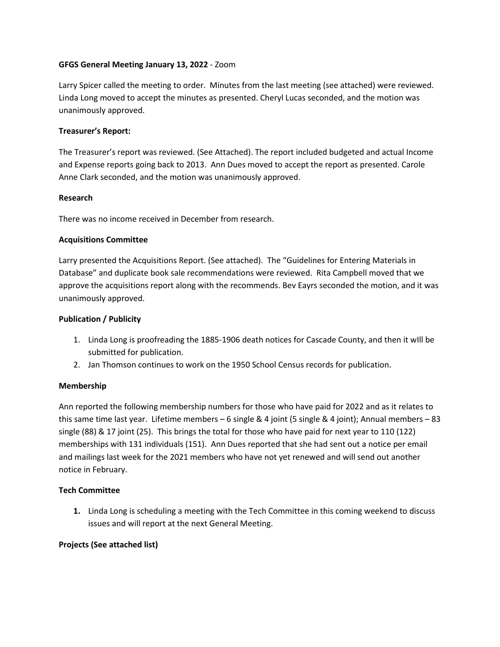# **GFGS General Meeting January 13, 2022** - Zoom

Larry Spicer called the meeting to order. Minutes from the last meeting (see attached) were reviewed. Linda Long moved to accept the minutes as presented. Cheryl Lucas seconded, and the motion was unanimously approved.

## **Treasurer's Report:**

The Treasurer's report was reviewed. (See Attached). The report included budgeted and actual Income and Expense reports going back to 2013. Ann Dues moved to accept the report as presented. Carole Anne Clark seconded, and the motion was unanimously approved.

## **Research**

There was no income received in December from research.

## **Acquisitions Committee**

Larry presented the Acquisitions Report. (See attached). The "Guidelines for Entering Materials in Database" and duplicate book sale recommendations were reviewed. Rita Campbell moved that we approve the acquisitions report along with the recommends. Bev Eayrs seconded the motion, and it was unanimously approved.

## **Publication / Publicity**

- 1. Linda Long is proofreading the 1885-1906 death notices for Cascade County, and then it wIll be submitted for publication.
- 2. Jan Thomson continues to work on the 1950 School Census records for publication.

#### **Membership**

Ann reported the following membership numbers for those who have paid for 2022 and as it relates to this same time last year. Lifetime members – 6 single & 4 joint (5 single & 4 joint); Annual members – 83 single (88) & 17 joint (25). This brings the total for those who have paid for next year to 110 (122) memberships with 131 individuals (151). Ann Dues reported that she had sent out a notice per email and mailings last week for the 2021 members who have not yet renewed and will send out another notice in February.

# **Tech Committee**

**1.** Linda Long is scheduling a meeting with the Tech Committee in this coming weekend to discuss issues and will report at the next General Meeting.

# **Projects (See attached list)**